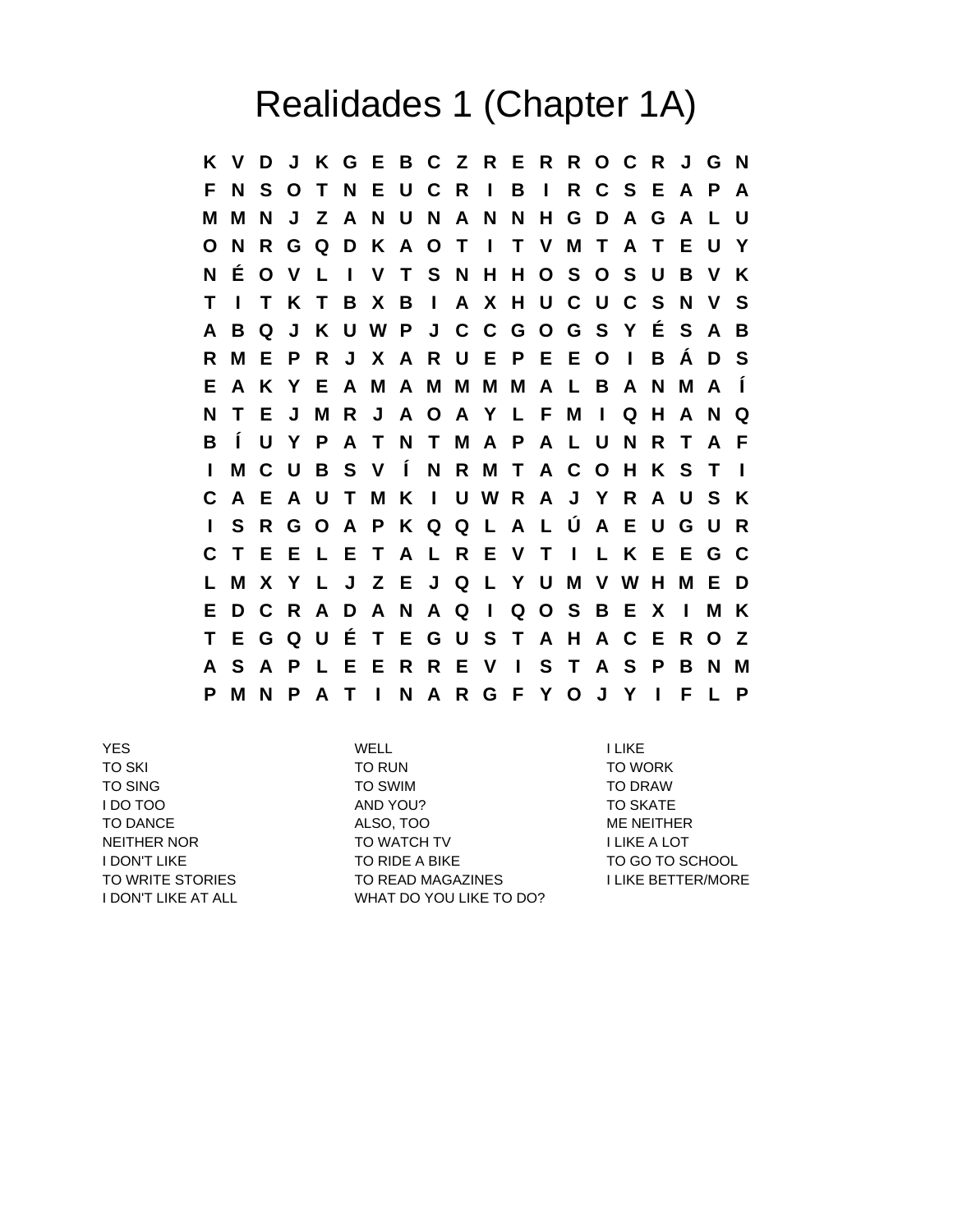## Realidades 1 (Chapter 1A)

**K V D J K G E B C Z R E R R O C R J G N F N S O T N E U C R I B I R C S E A P A M M N J Z A N U N A N N H G D A G A L U O N R G Q D K A O T I T V M T A T E U Y N É O V L I V T S N H H O S O S U B V K T I T K T B X B I A X H U C U C S N V S A B Q J K U W P J C C G O G S Y É S A B R M E P R J X A R U E P E E O I B Á D S E A K Y E A M A M M M M A L B A N M A Í N T E J M R J A O A Y L F M I Q H A N Q B Í U Y P A T N T M A P A L U N R T A F I M C U B S V Í N R M T A C O H K S T I C A E A U T M K I U W R A J Y R A U S K I S R G O A P K Q Q L A L Ú A E U G U R C T E E L E T A L R E V T I L K E E G C L M X Y L J Z E J Q L Y U M V W H M E D E D C R A D A N A Q I Q O S B E X I M K T E G Q U É T E G U S T A H A C E R O Z A S A P L E E R R E V I S T A S P B N M P M N P A T I N A R G F Y O J Y I F L P**

YES WELL I LIKE TO SKI TO RUN TO WORK TO SING TO BOOK TO SWIM TO BOOK TO DRAW I DO TOO AND YOU? TO SKATE TO DANCE ALSO, TOO ME NEITHER NEITHER NOR TO WATCH TV I LIKE A LOT I DON'T LIKE TO RIDE A BIKE TO GO TO SCHOOL TO WRITE STORIES TO READ MAGAZINES TO READ MAGAZINES I DON'T LIKE AT ALL WHAT DO YOU LIKE TO DO?